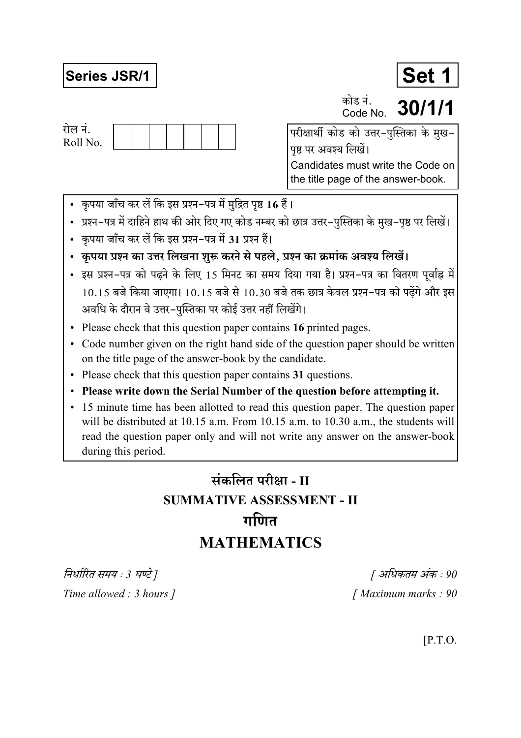## **Series JSR/1**

रोल नं. Roll No. Set 1

30/1/1 Code No पृष्ठ पर अवश्य लिखें।

कोड नं.

Candidates must write the Code on the title page of the answer-book.

- कृपया जाँच कर लें कि इस प्रश्न-पत्र में मुद्रित पृष्ठ 16 हैं।
- प्रश्न–पत्र में दाहिने हाथ की ओर दिए गए कोड नम्बर को छात्र उत्तर–पुस्तिका के मुख–पृष्ठ पर लिखें।
- कृपया जाँच कर लें कि इस प्रश्न-पत्र में 31 प्रश्न हैं।
- कृपया प्रश्न का उत्तर लिखना शुरू करने से पहले, प्रश्न का क्रमांक अवश्य लिखें।
- इस प्रश्न-पत्र को पढने के लिए 15 मिनट का समय दिया गया है। प्रश्न-पत्र का वितरण पर्वाह्न में 10.15 बजे किया जाएगा। 10.15 बजे से 10.30 बजे तक छात्र केवल प्रश्न-पत्र को पढेंगे और इस अवधि के दौरान वे उत्तर-पुस्तिका पर कोई उत्तर नहीं लिखेंगे।
- Please check that this question paper contains 16 printed pages.
- Code number given on the right hand side of the question paper should be written on the title page of the answer-book by the candidate.
- Please check that this question paper contains 31 questions.
- Please write down the Serial Number of the question before attempting it.
- 15 minute time has been allotted to read this question paper. The question paper will be distributed at 10.15 a.m. From 10.15 a.m. to 10.30 a.m., the students will read the question paper only and will not write any answer on the answer-book during this period.

# संकलित परीक्षा - II **SUMMATIVE ASSESSMENT - II** गणित **MATHEMATICS**

निर्धारित समय : 3 घण्टे ] Time allowed : 3 hours ]

[ अधिकतम अंक : 90 [Maximum marks: 90]

 $[$ P.T.O.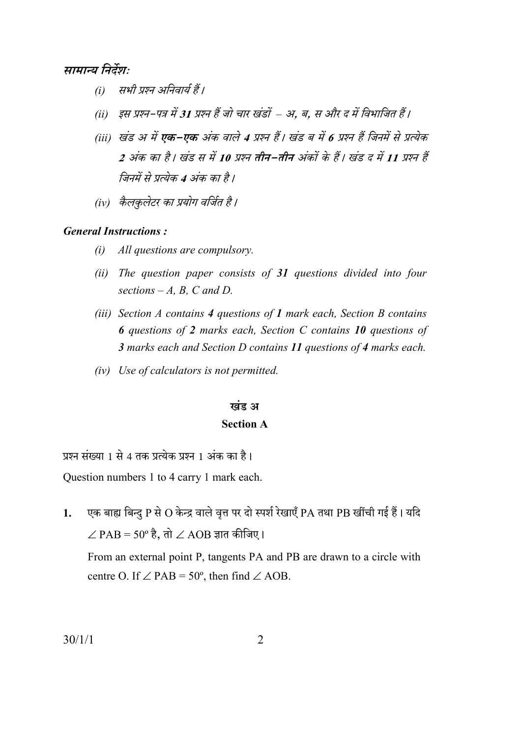#### सामान्य निर्देशः

- सभी प्रश्न अनिवार्य हैं।  $(i)$
- (ii) इस प्रश्न-पत्र में 31 प्रश्न हैं जो चार खंडों अ. ब. स और द में विभाजित हैं।
- (iii) खंड अ में **एक–एक** अंक वाले 4 प्रश्न हैं। खंड ब में 6 प्रश्न हैं जिनमें से प्रत्येक 2 अंक का है। खंड स में 10 प्रश्न तीन-तीन अंकों के हैं। खंड द में 11 प्रश्न हैं जिनमें से प्रत्येक 4 अंक का है।
- (iv) कैलकुलेटर का प्रयोग वर्जित है।

#### **General Instructions:**

- $(i)$ All questions are compulsory.
- (ii) The question paper consists of  $31$  questions divided into four sections  $-A$ , B, C and D.
- (iii) Section  $A$  contains  $A$  questions of  $I$  mark each, Section  $B$  contains **6** questions of 2 marks each, Section C contains 10 questions of 3 marks each and Section D contains 11 questions of 4 marks each.
- (iv) Use of calculators is not permitted.

#### खंड अ

#### **Section A**

प्रश्न संख्या 1 से 4 तक प्रत्येक प्रश्न 1 अंक का है।

Question numbers 1 to 4 carry 1 mark each.

एक बाह्य बिन्दु P से O केन्द्र वाले वृत्त पर दो स्पर्श रेखाएँ PA तथा PB खींची गई हैं। यदि  $1.$  $\angle$  PAB = 50° है, तो  $\angle$  AOB ज्ञात कीजिए। From an external point P, tangents PA and PB are drawn to a circle with centre O. If  $\angle$  PAB = 50°, then find  $\angle$  AOB.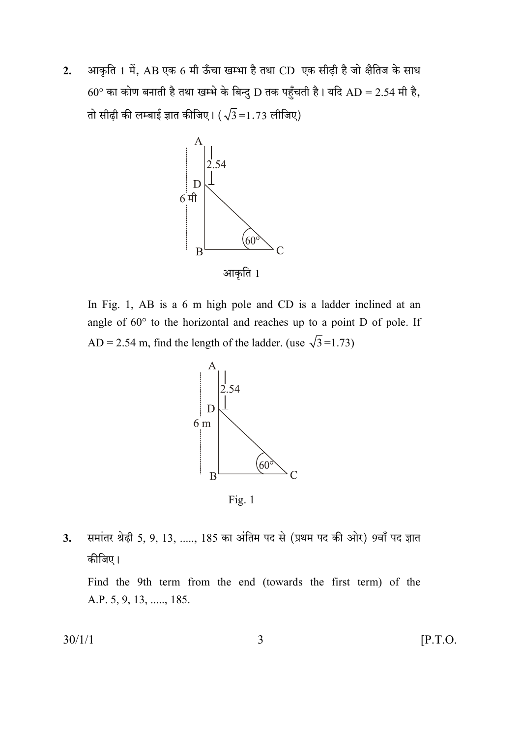आकृति 1 में, AB एक 6 मी ऊँचा खम्भा है तथा CD एक सीढ़ी है जो क्षैतिज के साथ  $2.$  $60^{\circ}$  का कोण बनाती है तथा खम्भे के बिन्दु D तक पहुँचती है। यदि AD = 2.54 मी है, तो सीढ़ी की लम्बाई ज्ञात कीजिए।  $(\sqrt{3} = 1.73$  लीजिए)



In Fig. 1, AB is a 6 m high pole and CD is a ladder inclined at an angle of  $60^{\circ}$  to the horizontal and reaches up to a point D of pole. If AD = 2.54 m, find the length of the ladder. (use  $\sqrt{3}$ =1.73)



Fig.  $1$ 

समांतर श्रेढ़ी 5, 9, 13, ....., 185 का अंतिम पद से (प्रथम पद की ओर) 9वाँ पद ज्ञात 3. कीजिए।

Find the 9th term from the end (towards the first term) of the A.P. 5, 9, 13, ....., 185.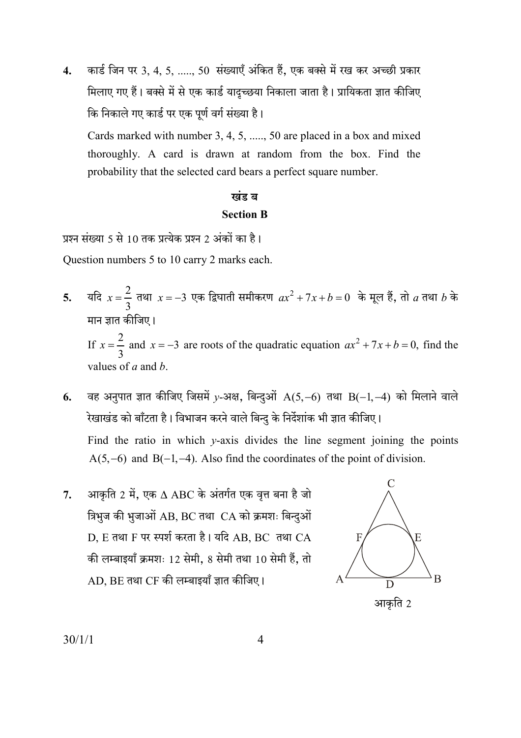कार्ड जिन पर 3, 4, 5, ....., 50 संख्याएँ अंकित हैं, एक बक्से में रख कर अच्छी प्रकार  $\overline{4}$ . मिलाए गए हैं। बक्से में से एक कार्ड यादच्छया निकाला जाता है। प्रायिकता ज्ञात कीजिए कि निकाले गए कार्ड पर एक पूर्ण वर्ग संख्या है।

Cards marked with number 3, 4, 5, ...., 50 are placed in a box and mixed thoroughly. A card is drawn at random from the box. Find the probability that the selected card bears a perfect square number.

### खंड ब **Section B**

प्रश्न संख्या 5 से 10 तक प्रत्येक प्रश्न 2 अंकों का है।

Question numbers 5 to 10 carry 2 marks each.

यदि  $x = \frac{2}{3}$  तथा  $x = -3$  एक द्विघाती समीकरण  $ax^2 + 7x + b = 0$  के मूल हैं, तो  $a$  तथा  $b$  के 5. मान ज्ञात कीजिए। If  $x = \frac{2}{3}$  and  $x = -3$  are roots of the quadratic equation  $ax^2 + 7x + b = 0$ , find the

values of  $a$  and  $b$ .

वह अनुपात ज्ञात कीजिए जिसमें y-अक्ष, बिन्दुओं  $A(5,-6)$  तथा  $B(-1,-4)$  को मिलाने वाले 6. रेखाखंड को बाँटता है। विभाजन करने वाले बिन्दु के निर्देशांक भी ज्ञात कीजिए।

Find the ratio in which  $y$ -axis divides the line segment joining the points  $A(5,-6)$  and  $B(-1,-4)$ . Also find the coordinates of the point of division.

आकृति 2 में, एक  $\Delta$  ABC के अंतर्गत एक वृत्त बना है जो  $7<sub>1</sub>$ त्रिभुज की भुजाओं AB, BC तथा CA को क्रमशः बिन्दुओं D. E तथा F पर स्पर्श करता है। यदि AB. BC तथा CA की लम्बाइयाँ क्रमशः 12 सेमी, 8 सेमी तथा 10 सेमी हैं, तो  $AD$ . BE तथा CF की लम्बाइयाँ ज्ञात कीजिए।

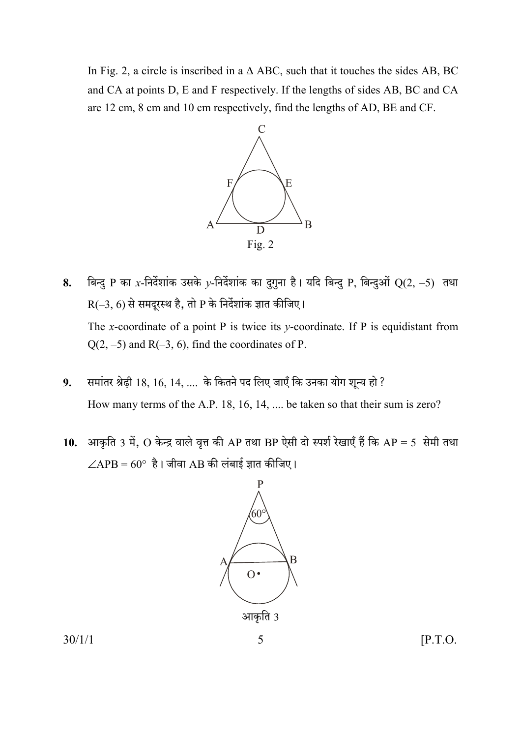In Fig. 2, a circle is inscribed in a  $\triangle$  ABC, such that it touches the sides AB, BC and CA at points D, E and F respectively. If the lengths of sides AB, BC and CA are 12 cm, 8 cm and 10 cm respectively, find the lengths of AD, BE and CF.



- बिन्दु P का x-निर्देशांक उसके y-निर्देशांक का दुगुना है। यदि बिन्दु P, बिन्दुओं Q(2, -5) तथा 8.  $R(-3, 6)$  से समदूरस्थ है, तो P के निर्देशांक ज्ञात कीजिए। The x-coordinate of a point P is twice its y-coordinate. If P is equidistant from  $Q(2, -5)$  and R(-3, 6), find the coordinates of P.
- समांतर श्रेढ़ी 18, 16, 14, .... के कितने पद लिए जाएँ कि उनका योग शून्य हो ? 9. How many terms of the A.P. 18, 16, 14, ... be taken so that their sum is zero?
- आकृति 3 में, O केन्द्र वाले वृत्त की AP तथा BP ऐसी दो स्पर्श रेखाएँ हैं कि AP = 5 सेमी तथा **10.**  $\angle APB = 60^\circ$  है। जीवा AB की लंबाई ज्ञात कीजिए।

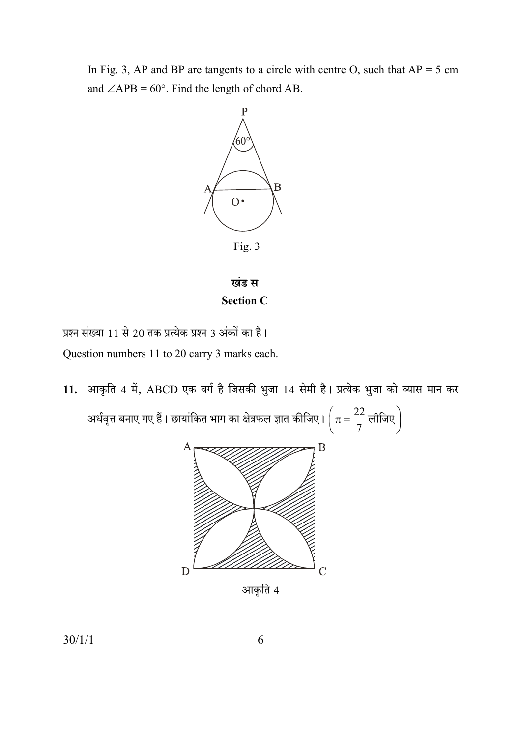In Fig. 3, AP and BP are tangents to a circle with centre O, such that  $AP = 5$  cm and  $\angle APB = 60^\circ$ . Find the length of chord AB.



खंड स **Section C** 

प्रश्न संख्या 11 से 20 तक प्रत्येक प्रश्न 3 अंकों का है। Question numbers 11 to 20 carry 3 marks each.

11. आकृति 4 में, ABCD एक वर्ग है जिसकी भुजा 14 सेमी है। प्रत्येक भुजा को व्यास मान कर अर्धवृत्त बनाए गए हैं। छायांकित भाग का क्षेत्रफल ज्ञात कीजिए।  $\left(\pi = \frac{22}{7}$ लीजिए  $\right)$ 



आकृति 4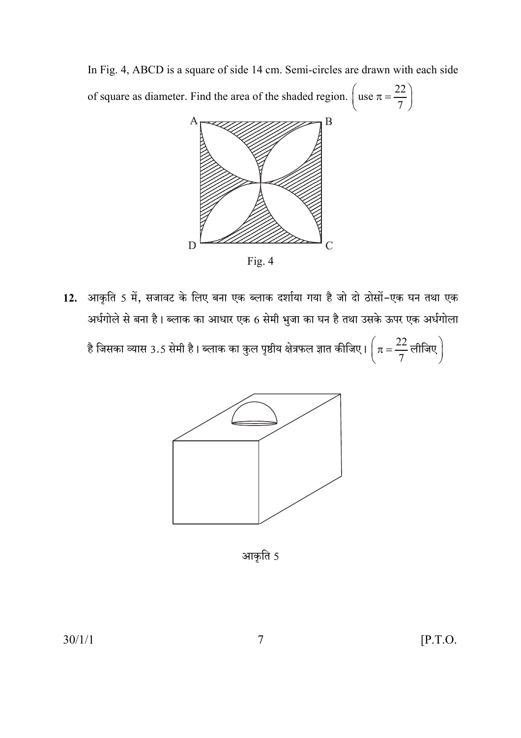In Fig. 4, ABCD is a square of side 14 cm. Semi-circles are drawn with each side



12. आकृति 5 में, सजावट के लिए बना एक ब्लाक दर्शाया गया है जो दो ठोसों-एक घन तथा एक अर्धगोले से बना है। ब्लाक का आधार एक 6 सेमी भुजा का घन है तथा उसके ऊपर एक अर्धगोला

है जिसका व्यास 3.5 सेमी है। ब्लाक का कुल पृष्ठीय क्षेत्रफल ज्ञात कीजिए।  $\left(\pi = \frac{22}{7}$ लीजिए  $\right)$ 



आकृति 5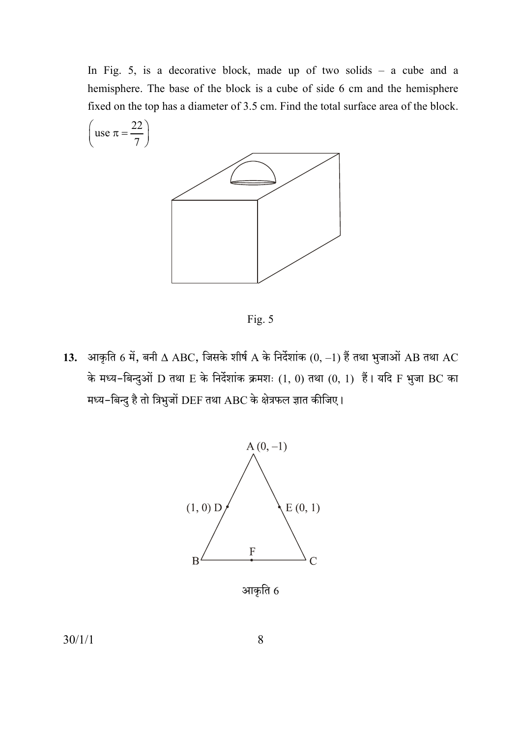In Fig. 5, is a decorative block, made up of two solids  $-$  a cube and a hemisphere. The base of the block is a cube of side 6 cm and the hemisphere fixed on the top has a diameter of 3.5 cm. Find the total surface area of the block.



Fig. 5

13. आकृति 6 में, बनी  $\Delta$  ABC, जिसके शीर्ष A के निर्देशांक  $(0, -1)$  हैं तथा भुजाओं AB तथा AC के मध्य-बिन्दुओं D तथा E के निर्देशांक क्रमशः  $(1, 0)$  तथा  $(0, 1)$  हैं। यदि F भुजा BC का मध्य-बिन्दु है तो त्रिभुजों DEF तथा ABC के क्षेत्रफल ज्ञात कीजिए।



आकृति 6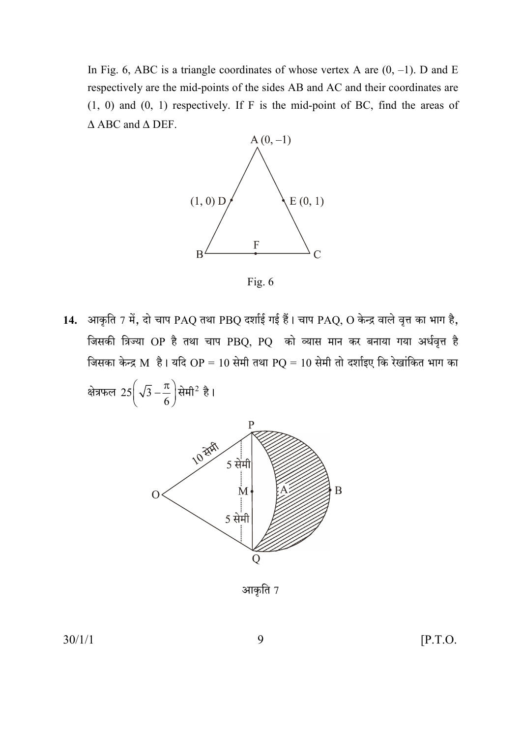In Fig. 6, ABC is a triangle coordinates of whose vertex A are  $(0, -1)$ . D and E respectively are the mid-points of the sides AB and AC and their coordinates are  $(1, 0)$  and  $(0, 1)$  respectively. If F is the mid-point of BC, find the areas of  $\triangle$  ABC and  $\triangle$  DEF.



Fig. 6

14. आकृति 7 में, दो चाप PAQ तथा PBQ दर्शाई गई हैं। चाप PAQ, O केन्द्र वाले वृत्त का भाग है, जिसकी त्रिज्या OP है तथा चाप PBQ, PQ को व्यास मान कर बनाया गया अर्धवृत्त है जिसका केन्द्र M है। यदि OP = 10 सेमी तथा PQ = 10 सेमी तो दर्शाइए कि रेखांकित भाग का

क्षेत्रफल 25 $\left(\sqrt{3}-\frac{\pi}{6}\right)$ सेमी<sup>2</sup> है।



आकृति 7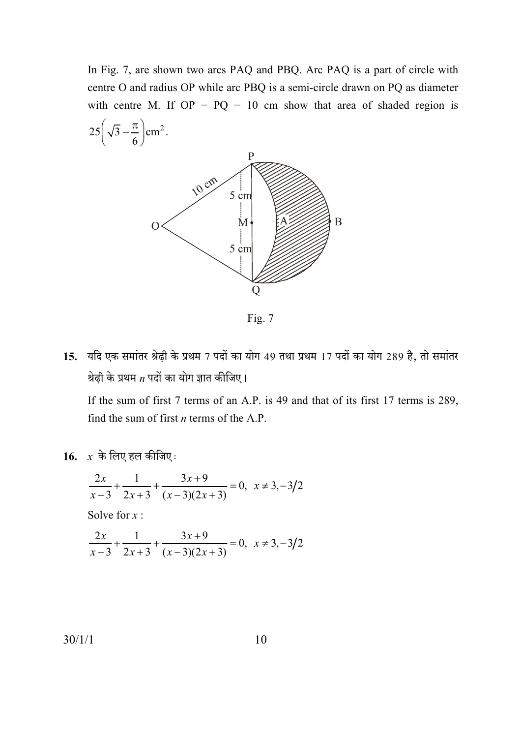In Fig. 7, are shown two arcs PAQ and PBQ. Arc PAQ is a part of circle with centre O and radius OP while arc PBQ is a semi-circle drawn on PQ as diameter with centre M. If  $OP = PQ = 10$  cm show that area of shaded region is



Fig.  $7$ 

15. यदि एक समांतर श्रेढ़ी के प्रथम 7 पदों का योग 49 तथा प्रथम 17 पदों का योग 289 है, तो समांतर श्रेढ़ी के प्रथम  $n$  पदों का योग ज्ञात कीजिए।

If the sum of first 7 terms of an A.P. is 49 and that of its first 17 terms is 289, find the sum of first  $n$  terms of the A.P.

16.  $x$  के लिए हल कीजिए:

$$
\frac{2x}{x-3} + \frac{1}{2x+3} + \frac{3x+9}{(x-3)(2x+3)} = 0, \ x \neq 3, -3/2
$$

Solve for  $x$ :

$$
\frac{2x}{x-3} + \frac{1}{2x+3} + \frac{3x+9}{(x-3)(2x+3)} = 0, \ \ x \neq 3, -3/2
$$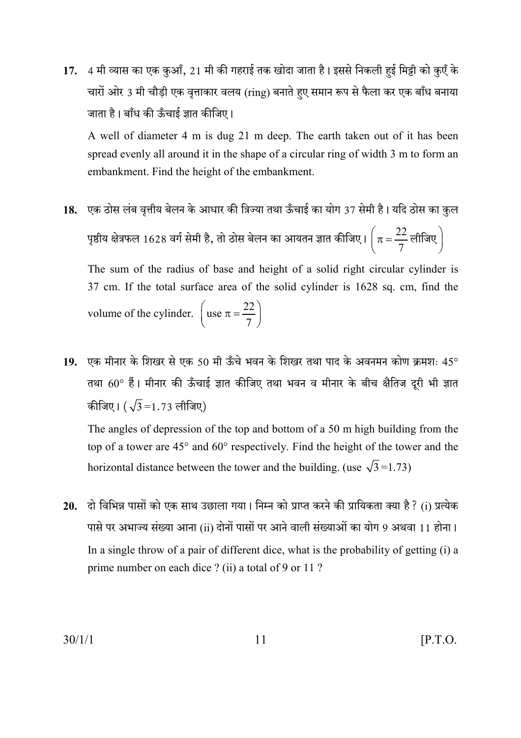4 मी व्यास का एक कुआँ, 21 मी की गहराई तक खोदा जाता है। इससे निकली हुई मिट्टी को कुएँ के  $17.$ चारों ओर 3 मी चौडी एक वत्ताकार वलय (ring) बनाते हए समान रूप से फैला कर एक बाँध बनाया जाता है। बाँध की ऊँचाई ज्ञात कीजिए।

A well of diameter 4 m is dug 21 m deep. The earth taken out of it has been spread evenly all around it in the shape of a circular ring of width 3 m to form an embankment. Find the height of the embankment.

18. एक ठोस लंब वृत्तीय बेलन के आधार की त्रिज्या तथा ऊँचाई का योग 37 सेमी है। यदि ठोस का कुल पृष्ठीय क्षेत्रफल 1628 वर्ग सेमी है, तो ठोस बेलन का आयतन ज्ञात कीजिए।  $\left(\pi = \frac{22}{7} \text{ eff}$ जिए $\right)$ 

The sum of the radius of base and height of a solid right circular cylinder is 37 cm. If the total surface area of the solid cylinder is 1628 sq. cm, find the volume of the cylinder.  $\left( \text{use } \pi = \frac{22}{7} \right)$ 

19. एक मीनार के शिखर से एक 50 मी ऊँचे भवन के शिखर तथा पाद के अवनमन कोण क्रमशः 45° तथा 60° हैं। मीनार की ऊँचाई ज्ञात कीजिए तथा भवन व मीनार के बीच क्षैतिज दूरी भी ज्ञात कीजिए।  $(\sqrt{3} = 1.73 \text{ m})$ 

The angles of depression of the top and bottom of a 50 m high building from the top of a tower are 45° and 60° respectively. Find the height of the tower and the horizontal distance between the tower and the building. (use  $\sqrt{3}$ =1.73)

20. दो विभिन्न पासों को एक साथ उछाला गया। निम्न को प्राप्त करने की प्रायिकता क्या है ? (i) प्रत्येक पासे पर अभाज्य संख्या आना (ii) दोनों पासों पर आने वाली संख्याओं का योग 9 अथवा 11 होना। In a single throw of a pair of different dice, what is the probability of getting (i) a prime number on each dice? (ii) a total of 9 or 11?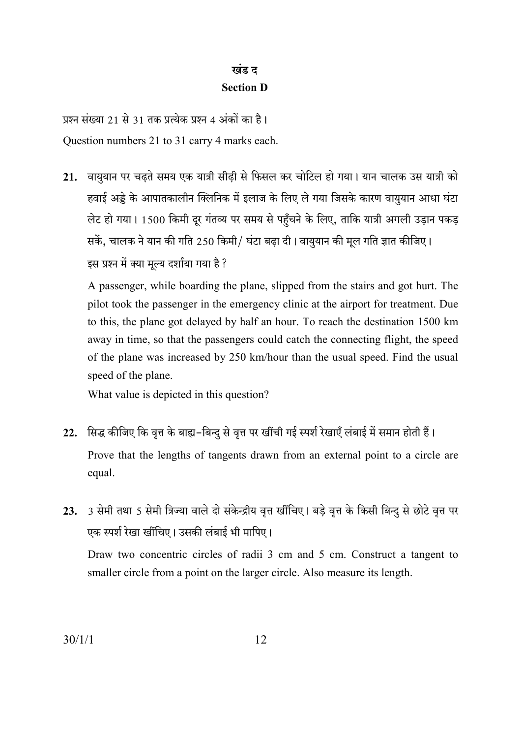## खंड ट **Section D**

प्रश्न संख्या 21 से 31 तक प्रत्येक प्रश्न 4 अंकों का है। Question numbers 21 to 31 carry 4 marks each.

21. वायुयान पर चढ़ते समय एक यात्री सीढ़ी से फिसल कर चोटिल हो गया। यान चालक उस यात्री को हवाई अड्डे के आपातकालीन क्लिनिक में इलाज के लिए ले गया जिसके कारण वायुयान आधा घंटा लेट हो गया। 1500 किमी दूर गंतव्य पर समय से पहुँचने के लिए, ताकि यात्री अगली उड़ान पकड़ सकें, चालक ने यान की गति 250 किमी/ घंटा बढ़ा दी। वायुयान की मूल गति ज्ञात कीजिए। इस प्रश्न में क्या मुल्य दर्शाया गया है ?

A passenger, while boarding the plane, slipped from the stairs and got hurt. The pilot took the passenger in the emergency clinic at the airport for treatment. Due to this, the plane got delayed by half an hour. To reach the destination 1500 km away in time, so that the passengers could catch the connecting flight, the speed of the plane was increased by 250 km/hour than the usual speed. Find the usual speed of the plane.

What value is depicted in this question?

- 22. सिद्ध कीजिए कि वृत्त के बाह्य-बिन्दु से वृत्त पर खींची गई स्पर्श रेखाएँ लंबाई में समान होती हैं। Prove that the lengths of tangents drawn from an external point to a circle are equal.
- 3 सेमी तथा 5 सेमी त्रिज्या वाले दो संकेन्द्रीय वृत्त खींचिए। बडे वृत्त के किसी बिन्दु से छोटे वृत्त पर  $23.$ एक स्पर्श रेखा खींचिए। उसकी लंबाई भी मापिए।

Draw two concentric circles of radii 3 cm and 5 cm. Construct a tangent to smaller circle from a point on the larger circle. Also measure its length.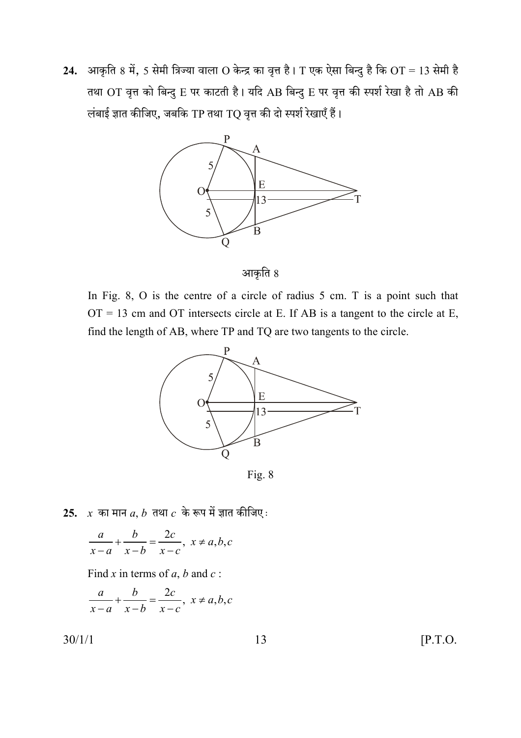24. आकृति 8 में, 5 सेमी त्रिज्या वाला O केन्द्र का वृत्त है। T एक ऐसा बिन्दु है कि OT = 13 सेमी है तथा OT वृत्त को बिन्दु E पर काटती है। यदि AB बिन्दु E पर वृत्त की स्पर्श रेखा है तो AB की लंबाई ज्ञात कीजिए, जबकि TP तथा TQ वृत्त की दो स्पर्श रेखाएँ हैं।



आकृति 8

In Fig. 8, O is the centre of a circle of radius 5 cm. T is a point such that  $OT = 13$  cm and OT intersects circle at E. If AB is a tangent to the circle at E, find the length of AB, where TP and TQ are two tangents to the circle.



Fig. 8

25.  $x$  का मान  $a, b$  तथा  $c$  के रूप में ज्ञात कीजिए:

$$
\frac{a}{x-a} + \frac{b}{x-b} = \frac{2c}{x-c}, \ x \neq a, b, c
$$

Find x in terms of a, b and c:

$$
\frac{a}{x-a} + \frac{b}{x-b} = \frac{2c}{x-c}, \ x \neq a, b, c
$$

 $30/1/1$ 

 $[$ P.T.O.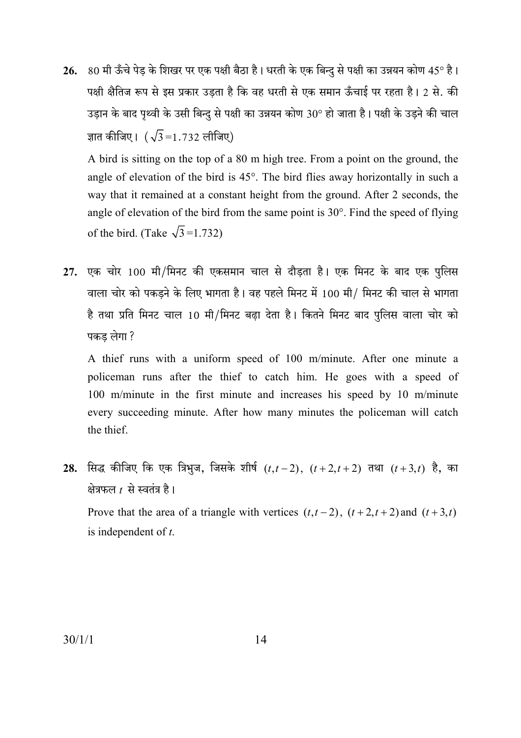26. 80 मी ऊँचे पेड़ के शिखर पर एक पक्षी बैठा है। धरती के एक बिन्दु से पक्षी का उन्नयन कोण 45° है। पक्षी क्षैतिज रूप से इस प्रकार उडता है कि वह धरती से एक समान ऊँचाई पर रहता है। 2 से. की उड़ान के बाद पृथ्वी के उसी बिन्दु से पक्षी का उन्नयन कोण 30° हो जाता है। पक्षी के उड़ने की चाल ज्ञात कीजिए।  $(\sqrt{3} = 1.732 \text{ m}^2)$ 

A bird is sitting on the top of a 80 m high tree. From a point on the ground, the angle of elevation of the bird is 45°. The bird flies away horizontally in such a way that it remained at a constant height from the ground. After 2 seconds, the angle of elevation of the bird from the same point is  $30^{\circ}$ . Find the speed of flying of the bird. (Take  $\sqrt{3}$ =1.732)

27. एक चोर 100 मी/मिनट की एकसमान चाल से दौडता है। एक मिनट के बाद एक पुलिस वाला चोर को पकड़ने के लिए भागता है। वह पहले मिनट में 100 मी/ मिनट की चाल से भागता है तथा प्रति मिनट चाल 10 मी/मिनट बढा देता है। कितने मिनट बाद पुलिस वाला चोर को पकड लेगा ?

A thief runs with a uniform speed of 100 m/minute. After one minute a policeman runs after the thief to catch him. He goes with a speed of 100 m/minute in the first minute and increases his speed by 10 m/minute every succeeding minute. After how many minutes the policeman will catch the thief.

28. सिद्ध कीजिए कि एक त्रिभुज, जिसके शीर्ष  $(t,t-2)$ ,  $(t+2,t+2)$  तथा  $(t+3,t)$  है, का क्षेत्रफल  $t$  से स्वतंत्र है।

Prove that the area of a triangle with vertices  $(t,t-2)$ ,  $(t+2,t+2)$  and  $(t+3,t)$ is independent of  $t$ .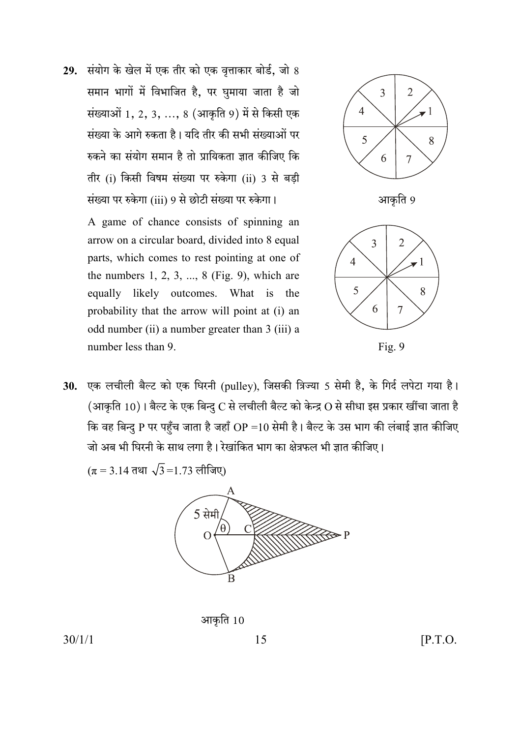29. संयोग के खेल में एक तीर को एक वृत्ताकार बोर्ड, जो 8 समान भागों में विभाजित है. पर घमाया जाता है जो संख्याओं 1, 2, 3, ..., 8 (आकृति 9) में से किसी एक संख्या के आगे रुकता है। यदि तीर की सभी संख्याओं पर रुकने का संयोग समान है तो प्रायिकता ज्ञात कीजिए कि तीर (i) किसी विषम संख्या पर रुकेगा (ii) 3 से बड़ी संख्या पर रुकेगा (iii) 9 से छोटी संख्या पर रुकेगा।

> A game of chance consists of spinning an arrow on a circular board, divided into 8 equal parts, which comes to rest pointing at one of the numbers  $1, 2, 3, \ldots, 8$  (Fig. 9), which are equally likely outcomes. What is the probability that the arrow will point at (i) an odd number (ii) a number greater than 3 (iii) a number less than 9



$$
Fig. 9
$$

30. एक लचीली बैल्ट को एक घिरनी (pulley), जिसकी त्रिज्या 5 सेमी है, के गिर्द लपेटा गया है। (आकृति 10)। बैल्ट के एक बिन्दु  $C$  से लचीली बैल्ट को केन्द्र  $O$  से सीधा इस प्रकार खींचा जाता है कि वह बिन्दु P पर पहँच जाता है जहाँ OP =10 सेमी है। बैल्ट के उस भाग की लंबाई ज्ञात कीजिए जो अब भी घिरनी के साथ लगा है। रेखांकित भाग का क्षेत्रफल भी ज्ञात कीजिए।

$$
(\pi = 3.14 \text{ }\pi\text{H}) \sqrt{3} = 1.73 \text{ }\pi\text{ln}(\text{H})
$$



आकृति 10